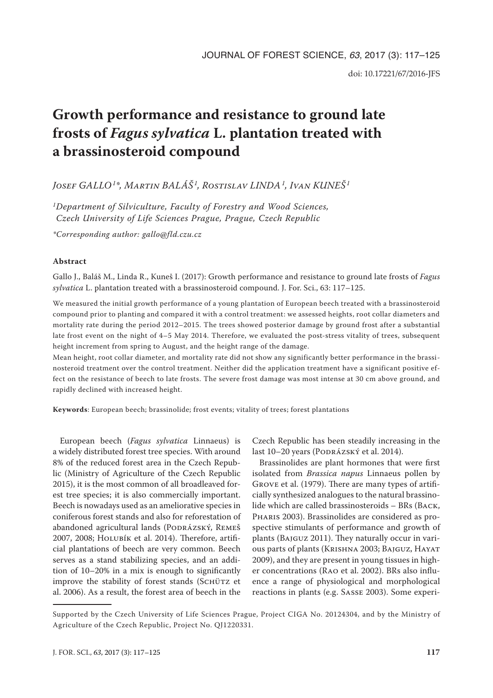# **Growth performance and resistance to ground late frosts of** *Fagus sylvatica* **L. plantation treated with a brassinosteroid compound**

## *Josef GALLO1\*, Martin BALÁŠ 1, Rostislav LINDA1, Ivan KUNEŠ <sup>1</sup>*

*1Department of Silviculture, Faculty of Forestry and Wood Sciences, Czech University of Life Sciences Prague, Prague, Czech Republic*

*\*Corresponding author: gallo@fld.czu.cz*

## **Abstract**

Gallo J., Baláš M., Linda R., Kuneš I. (2017): Growth performance and resistance to ground late frosts of *Fagus sylvatica* L. plantation treated with a brassinosteroid compound. J. For. Sci., 63: 117–125.

We measured the initial growth performance of a young plantation of European beech treated with a brassinosteroid compound prior to planting and compared it with a control treatment: we assessed heights, root collar diameters and mortality rate during the period 2012–2015. The trees showed posterior damage by ground frost after a substantial late frost event on the night of 4–5 May 2014. Therefore, we evaluated the post-stress vitality of trees, subsequent height increment from spring to August, and the height range of the damage.

Mean height, root collar diameter, and mortality rate did not show any significantly better performance in the brassinosteroid treatment over the control treatment. Neither did the application treatment have a significant positive effect on the resistance of beech to late frosts. The severe frost damage was most intense at 30 cm above ground, and rapidly declined with increased height.

**Keywords**: European beech; brassinolide; frost events; vitality of trees; forest plantations

European beech (*Fagus sylvatica* Linnaeus) is a widely distributed forest tree species. With around 8% of the reduced forest area in the Czech Republic (Ministry of Agriculture of the Czech Republic 2015), it is the most common of all broadleaved forest tree species; it is also commercially important. Beech is nowadays used as an ameliorative species in coniferous forest stands and also for reforestation of abandoned agricultural lands (PODRÁZSKÝ, REMEŠ 2007, 2008; Holubík et al. 2014). Therefore, artificial plantations of beech are very common. Beech serves as a stand stabilizing species, and an addition of 10–20% in a mix is enough to significantly improve the stability of forest stands (SCHÜTZ et al. 2006). As a result, the forest area of beech in the

Czech Republic has been steadily increasing in the last 10–20 years (PODRÁZSKÝ et al. 2014).

Brassinolides are plant hormones that were first isolated from *Brassica napus* Linnaeus pollen by Grove et al. (1979). There are many types of artificially synthesized analogues to the natural brassinolide which are called brassinosteroids – BRs (Back, Pharis 2003). Brassinolides are considered as prospective stimulants of performance and growth of plants (Bajguz 2011). They naturally occur in various parts of plants (Krishna 2003; Bajguz, Hayat 2009), and they are present in young tissues in higher concentrations (Rao et al. 2002). BRs also influence a range of physiological and morphological reactions in plants (e.g. Sasse 2003). Some experi-

Supported by the Czech University of Life Sciences Prague, Project CIGA No. 20124304, and by the Ministry of Agriculture of the Czech Republic, Project No. QJ1220331.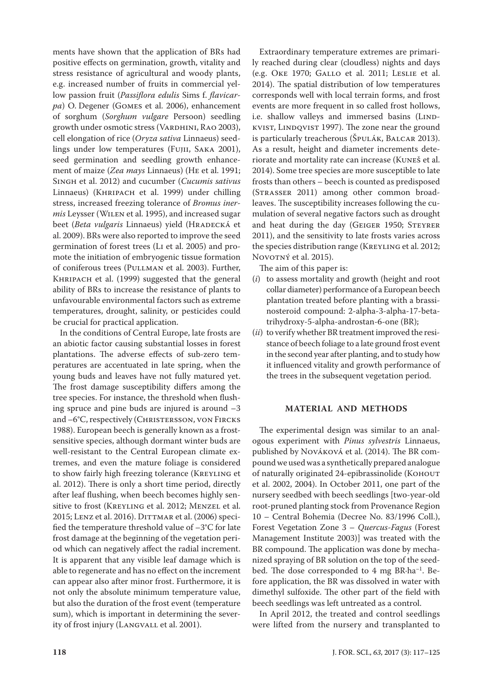ments have shown that the application of BRs had positive effects on germination, growth, vitality and stress resistance of agricultural and woody plants, e.g. increased number of fruits in commercial yellow passion fruit (*Passiflora edulis* Sims f. *flavicarpa*) O. Degener (Gomes et al. 2006), enhancement of sorghum (*Sorghum vulgare* Persoon) seedling growth under osmotic stress (VARDHINI, RAO 2003), cell elongation of rice (*Oryza sativa* Linnaeus) seedlings under low temperatures (Fujii, Saka 2001), seed germination and seedling growth enhancement of maize (*Zea mays* Linnaeus) (He et al. 1991; Singh et al. 2012) and cucumber (*Cucumis sativus* Linnaeus) (Khripach et al. 1999) under chilling stress, increased freezing tolerance of *Bromus inermis* Leysser (Wilen et al. 1995), and increased sugar beet (*Beta vulgaris* Linnaeus) yield (HRADECKÁ et al. 2009). BRs were also reported to improve the seed germination of forest trees (Li et al. 2005) and promote the initiation of embryogenic tissue formation of coniferous trees (Pullman et al. 2003). Further, Khripach et al. (1999) suggested that the general ability of BRs to increase the resistance of plants to unfavourable environmental factors such as extreme temperatures, drought, salinity, or pesticides could be crucial for practical application.

In the conditions of Central Europe, late frosts are an abiotic factor causing substantial losses in forest plantations. The adverse effects of sub-zero temperatures are accentuated in late spring, when the young buds and leaves have not fully matured yet. The frost damage susceptibility differs among the tree species. For instance, the threshold when flushing spruce and pine buds are injured is around –3 and –6°C, respectively (Christersson, von Fircks 1988). European beech is generally known as a frostsensitive species, although dormant winter buds are well-resistant to the Central European climate extremes, and even the mature foliage is considered to show fairly high freezing tolerance (KREYLING et al. 2012). There is only a short time period, directly after leaf flushing, when beech becomes highly sensitive to frost (Kreyling et al. 2012; Menzel et al. 2015; Lenz et al. 2016). DITTMAR et al. (2006) specified the temperature threshold value of –3°C for late frost damage at the beginning of the vegetation period which can negatively affect the radial increment. It is apparent that any visible leaf damage which is able to regenerate and has no effect on the increment can appear also after minor frost. Furthermore, it is not only the absolute minimum temperature value, but also the duration of the frost event (temperature sum), which is important in determining the severity of frost injury (LANGVALL et al. 2001).

Extraordinary temperature extremes are primarily reached during clear (cloudless) nights and days (e.g. Oke 1970; Gallo et al. 2011; Leslie et al. 2014). The spatial distribution of low temperatures corresponds well with local terrain forms, and frost events are more frequent in so called frost hollows, i.e. shallow valleys and immersed basins (LINDkvist, Lindqvist 1997). The zone near the ground is particularly treacherous (Špulák, Balcar 2013). As a result, height and diameter increments deteriorate and mortality rate can increase (Kuneš et al. 2014). Some tree species are more susceptible to late frosts than others – beech is counted as predisposed (Strasser 2011) among other common broadleaves. The susceptibility increases following the cumulation of several negative factors such as drought and heat during the day (GEIGER 1950; STEYRER 2011), and the sensitivity to late frosts varies across the species distribution range (KREYLING et al. 2012; NOVOTNÝ et al. 2015).

The aim of this paper is:

- (*i*) to assess mortality and growth (height and root collar diameter) performance of a European beech plantation treated before planting with a brassinosteroid compound: 2-alpha-3-alpha-17-betatrihydroxy-5-alpha-androstan-6-one (BR);
- (*ii*) to verify whether BR treatment improved the resistance of beech foliage to a late ground frost event in the second year after planting, and to study how it influenced vitality and growth performance of the trees in the subsequent vegetation period.

## **MATERIAL AND METHODS**

The experimental design was similar to an analogous experiment with *Pinus sylvestris* Linnaeus, published by Nováková et al. (2014). The BR compound we used was a synthetically prepared analogue of naturally originated 24-epibrassinolide (Коноит et al. 2002, 2004). In October 2011, one part of the nursery seedbed with beech seedlings [two-year-old root-pruned planting stock from Provenance Region 10 – Central Bohemia (Decree No. 83/1996 Coll.), Forest Vegetation Zone 3 – *Quercus-Fagus* (Forest Management Institute 2003)] was treated with the BR compound. The application was done by mechanized spraying of BR solution on the top of the seedbed. The dose corresponded to 4 mg BR·ha<sup>-1</sup>. Before application, the BR was dissolved in water with dimethyl sulfoxide. The other part of the field with beech seedlings was left untreated as a control.

In April 2012, the treated and control seedlings were lifted from the nursery and transplanted to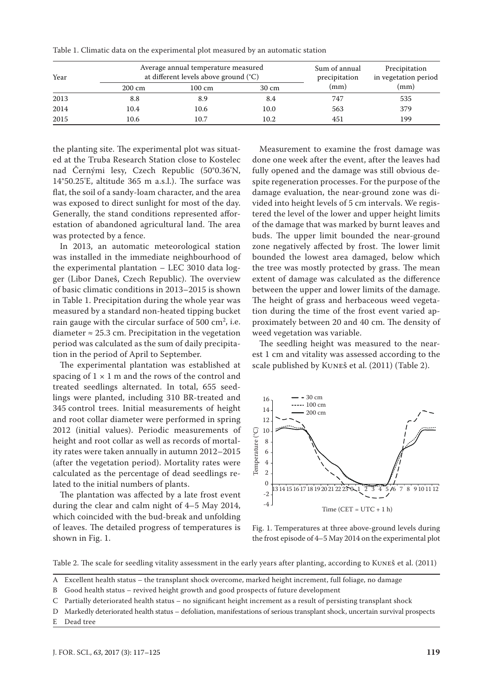| Table 1. Climatic data on the experimental plot measured by an automatic station |  |
|----------------------------------------------------------------------------------|--|
|----------------------------------------------------------------------------------|--|

| Year | Average annual temperature measured<br>at different levels above ground (°C) |        |       | Sum of annual<br>precipitation | Precipitation<br>in vegetation period |
|------|------------------------------------------------------------------------------|--------|-------|--------------------------------|---------------------------------------|
|      | $200 \text{ cm}$                                                             | 100 cm | 30 cm | (mm)                           | (mm)                                  |
| 2013 | 8.8                                                                          | 8.9    | 8.4   | 747                            | 535                                   |
| 2014 | 10.4                                                                         | 10.6   | 10.0  | 563                            | 379                                   |
| 2015 | 10.6                                                                         | 10.7   | 10.2  | 451                            | 199                                   |

the planting site. The experimental plot was situated at the Truba Research Station close to Kostelec nad Černými lesy, Czech Republic (50°0.36'N, 14°50.25'E, altitude 365 m a.s.l.). The surface was flat, the soil of a sandy-loam character, and the area was exposed to direct sunlight for most of the day. Generally, the stand conditions represented afforestation of abandoned agricultural land. The area was protected by a fence.

In 2013, an automatic meteorological station was installed in the immediate neighbourhood of the experimental plantation – LEC 3010 data logger (Libor Daneš, Czech Republic). The overview of basic climatic conditions in 2013–2015 is shown in Table 1. Precipitation during the whole year was measured by a standard non-heated tipping bucket rain gauge with the circular surface of  $500 \text{ cm}^2$ , i.e. diameter  $\approx$  25.3 cm. Precipitation in the vegetation period was calculated as the sum of daily precipitation in the period of April to September.

The experimental plantation was established at spacing of  $1 \times 1$  m and the rows of the control and treated seedlings alternated. In total, 655 seedlings were planted, including 310 BR-treated and 345 control trees. Initial measurements of height and root collar diameter were performed in spring 2012 (initial values). Periodic measurements of height and root collar as well as records of mortality rates were taken annually in autumn 2012–2015 (after the vegetation period). Mortality rates were calculated as the percentage of dead seedlings related to the initial numbers of plants.

The plantation was affected by a late frost event during the clear and calm night of 4–5 May 2014, which coincided with the bud-break and unfolding of leaves. The detailed progress of temperatures is shown in Fig. 1.

Measurement to examine the frost damage was done one week after the event, after the leaves had fully opened and the damage was still obvious despite regeneration processes. For the purpose of the damage evaluation, the near-ground zone was divided into height levels of 5 cm intervals. We registered the level of the lower and upper height limits of the damage that was marked by burnt leaves and buds. The upper limit bounded the near-ground zone negatively affected by frost. The lower limit bounded the lowest area damaged, below which the tree was mostly protected by grass. The mean extent of damage was calculated as the difference between the upper and lower limits of the damage. The height of grass and herbaceous weed vegetation during the time of the frost event varied approximately between 20 and 40 cm. The density of weed vegetation was variable.

The seedling height was measured to the nearest 1 cm and vitality was assessed according to the scale published by Kuneš et al. (2011) (Table 2).



Fig. 1. Temperatures at three above-ground levels during the frost episode of 4–5 May 2014 on the experimental plot

Table 2. The scale for seedling vitality assessment in the early years after planting, according to Kuneš et al. (2011)

- B Good health status revived height growth and good prospects of future development
- C Partially deteriorated health status no significant height increment as a result of persisting transplant shock
- D Markedly deteriorated health status defoliation, manifestations of serious transplant shock, uncertain survival prospects
- E Dead tree

A Excellent health status – the transplant shock overcome, marked height increment, full foliage, no damage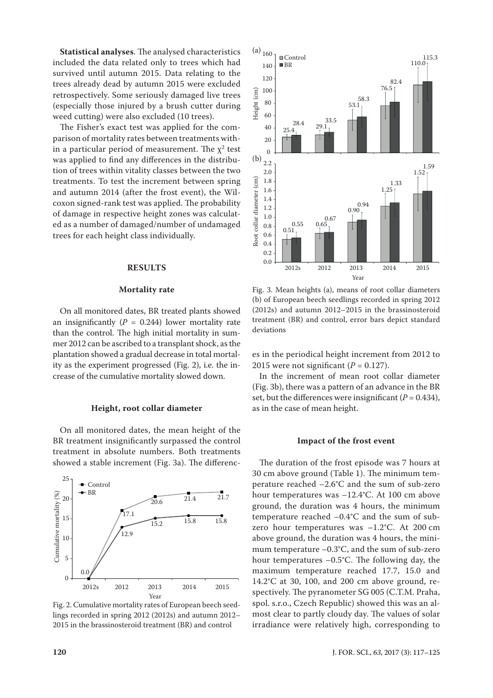**Statistical analyses**. The analysed characteristics included the data related only to trees which had survived until autumn 2015. Data relating to the trees already dead by autumn 2015 were excluded retrospectively. Some seriously damaged live trees (especially those injured by a brush cutter during weed cutting) were also excluded (10 trees).

The Fisher's exact test was applied for the comparison of mortality rates between treatments within a particular period of measurement. The  $\chi^2$  test was applied to find any differences in the distribution of trees within vitality classes between the two treatments. To test the increment between spring and autumn 2014 (after the frost event), the Wilcoxon signed-rank test was applied. The probability of damage in respective height zones was calculated as a number of damaged/number of undamaged trees for each height class individually.

### **RESULTS**

## **Mortality rate**

On all monitored dates, BR treated plants showed an insignificantly  $(P = 0.244)$  lower mortality rate than the control. The high initial mortality in summer 2012 can be ascribed to a transplant shock, as the plantation showed a gradual decrease in total mortality as the experiment progressed (Fig. 2), i.e. the increase of the cumulative mortality slowed down.

#### **Height, root collar diameter**

On all monitored dates, the mean height of the BR treatment insignificantly surpassed the control treatment in absolute numbers. Both treatments showed a stable increment (Fig. 3a). The differenc-



Fig. 2. Cumulative mortality rates of European beech seedlings recorded in spring 2012 (2012s) and autumn 2012– 2015 in the brassinosteroid treatment (BR) and control



Fig. 3. Mean heights (a), means of root collar diameters (b) of European beech seedlings recorded in spring 2012 (2012s) and autumn 2012–2015 in the brassinosteroid treatment (BR) and control, error bars depict standard deviations

es in the periodical height increment from 2012 to 2015 were not significant  $(P = 0.127)$ .

In the increment of mean root collar diameter (Fig. 3b), there was a pattern of an advance in the BR set, but the differences were insignificant  $(P = 0.434)$ , as in the case of mean height.

#### **Impact of the frost event**

The duration of the frost episode was 7 hours at 30 cm above ground (Table 1). The minimum temperature reached –2.6°C and the sum of sub-zero hour temperatures was –12.4°C. At 100 cm above ground, the duration was 4 hours, the minimum temperature reached –0.4°C and the sum of subzero hour temperatures was –1.2°C. At 200 cm above ground, the duration was 4 hours, the minimum temperature –0.3°C, and the sum of sub-zero hour temperatures –0.5°C. The following day, the maximum temperature reached 17.7, 15.0 and 14.2°C at 30, 100, and 200 cm above ground, respectively. The pyranometer SG 005 (C.T.M. Praha, spol. s.r.o., Czech Republic) showed this was an almost clear to partly cloudy day. The values of solar irradiance were relatively high, corresponding to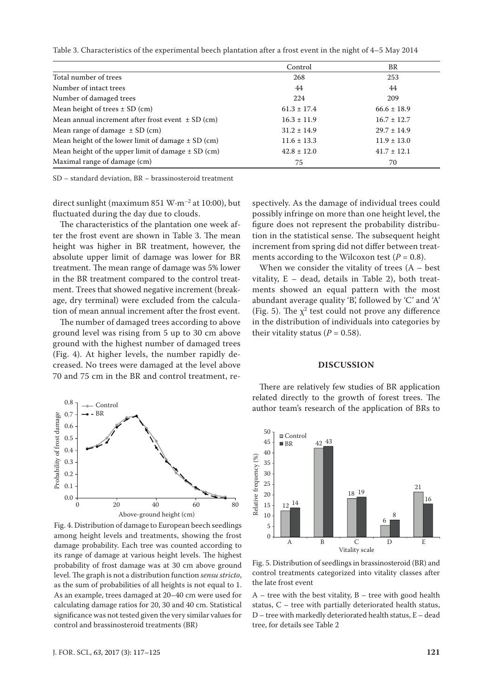Table 3. Characteristics of the experimental beech plantation after a frost event in the night of 4–5 May 2014

|                                                        | Control         | BR              |
|--------------------------------------------------------|-----------------|-----------------|
| Total number of trees                                  | 268             | 253             |
| Number of intact trees                                 | 44              | 44              |
| Number of damaged trees                                | 224             | 209             |
| Mean height of trees $\pm$ SD (cm)                     | $61.3 \pm 17.4$ | $66.6 \pm 18.9$ |
| Mean annual increment after frost event $\pm$ SD (cm)  | $16.3 \pm 11.9$ | $16.7 \pm 12.7$ |
| Mean range of damage $\pm$ SD (cm)                     | $31.2 \pm 14.9$ | $29.7 \pm 14.9$ |
| Mean height of the lower limit of damage $\pm$ SD (cm) | $11.6 \pm 13.3$ | $11.9 \pm 13.0$ |
| Mean height of the upper limit of damage $\pm$ SD (cm) | $42.8 \pm 12.0$ | $41.7 \pm 12.1$ |
| Maximal range of damage (cm)                           | 75              | 70              |

SD – standard deviation, BR – brassinosteroid treatment

direct sunlight (maximum 851 W·m<sup>-2</sup> at 10:00), but fluctuated during the day due to clouds.

The characteristics of the plantation one week after the frost event are shown in Table 3. The mean height was higher in BR treatment, however, the absolute upper limit of damage was lower for BR treatment. The mean range of damage was 5% lower in the BR treatment compared to the control treatment. Trees that showed negative increment (breakage, dry terminal) were excluded from the calculation of mean annual increment after the frost event.

The number of damaged trees according to above ground level was rising from 5 up to 30 cm above ground with the highest number of damaged trees (Fig. 4). At higher levels, the number rapidly decreased. No trees were damaged at the level above 70 and 75 cm in the BR and control treatment, re-



Fig. 4. Distribution of damage to European beech seedlings among height levels and treatments, showing the frost damage probability. Each tree was counted according to its range of damage at various height levels. The highest probability of frost damage was at 30 cm above ground level. The graph is not a distribution function *sensu stricto*, as the sum of probabilities of all heights is not equal to 1. As an example, trees damaged at 20–40 cm were used for calculating damage ratios for 20, 30 and 40 cm. Statistical significance was not tested given the very similar values for control and brassinosteroid treatments (BR)

spectively. As the damage of individual trees could possibly infringe on more than one height level, the figure does not represent the probability distribution in the statistical sense. The subsequent height increment from spring did not differ between treatments according to the Wilcoxon test  $(P = 0.8)$ .

When we consider the vitality of trees  $(A - best)$ vitality, E – dead, details in Table 2), both treatments showed an equal pattern with the most abundant average quality 'B', followed by 'C' and 'A' (Fig. 5). The  $\chi^2$  test could not prove any difference in the distribution of individuals into categories by their vitality status  $(P = 0.58)$ .

#### **DISCUSSION**

There are relatively few studies of BR application related directly to the growth of forest trees. The author team's research of the application of BRs to



Fig. 5. Distribution of seedlings in brassinosteroid (BR) and control treatments categorized into vitality classes after the late frost event

 $A$  – tree with the best vitality,  $B$  – tree with good health status, C – tree with partially deteriorated health status, D – tree with markedly deteriorated health status, E – dead tree, for details see Table 2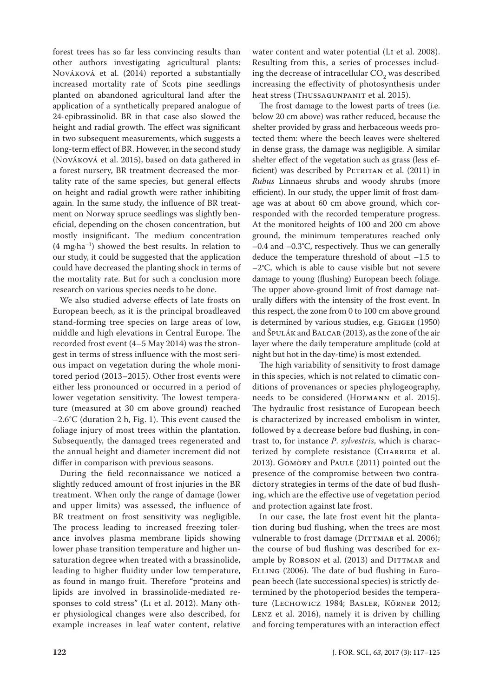forest trees has so far less convincing results than other authors investigating agricultural plants: Nováková et al. (2014) reported a substantially increased mortality rate of Scots pine seedlings planted on abandoned agricultural land after the application of a synthetically prepared analogue of 24-epibrassinolid. BR in that case also slowed the height and radial growth. The effect was significant in two subsequent measurements, which suggests a long-term effect of BR. However, in the second study (Nováková et al. 2015), based on data gathered in a forest nursery, BR treatment decreased the mortality rate of the same species, but general effects on height and radial growth were rather inhibiting again. In the same study, the influence of BR treatment on Norway spruce seedlings was slightly beneficial, depending on the chosen concentration, but mostly insignificant. The medium concentration  $(4 \text{ mg} \cdot \text{ha}^{-1})$  showed the best results. In relation to our study, it could be suggested that the application could have decreased the planting shock in terms of the mortality rate. But for such a conclusion more research on various species needs to be done.

We also studied adverse effects of late frosts on European beech, as it is the principal broadleaved stand-forming tree species on large areas of low, middle and high elevations in Central Europe. The recorded frost event (4–5 May 2014) was the strongest in terms of stress influence with the most serious impact on vegetation during the whole monitored period (2013–2015). Other frost events were either less pronounced or occurred in a period of lower vegetation sensitivity. The lowest temperature (measured at 30 cm above ground) reached –2.6°C (duration 2 h, Fig. 1). This event caused the foliage injury of most trees within the plantation. Subsequently, the damaged trees regenerated and the annual height and diameter increment did not differ in comparison with previous seasons.

During the field reconnaissance we noticed a slightly reduced amount of frost injuries in the BR treatment. When only the range of damage (lower and upper limits) was assessed, the influence of BR treatment on frost sensitivity was negligible. The process leading to increased freezing tolerance involves plasma membrane lipids showing lower phase transition temperature and higher unsaturation degree when treated with a brassinolide, leading to higher fluidity under low temperature, as found in mango fruit. Therefore "proteins and lipids are involved in brassinolide-mediated responses to cold stress" (Li et al. 2012). Many other physiological changes were also described, for example increases in leaf water content, relative

water content and water potential (Li et al. 2008). Resulting from this, a series of processes including the decrease of intracellular  $CO<sub>2</sub>$  was described increasing the effectivity of photosynthesis under heat stress (THUSSAGUNPANIT et al. 2015).

The frost damage to the lowest parts of trees (i.e. below 20 cm above) was rather reduced, because the shelter provided by grass and herbaceous weeds protected them: where the beech leaves were sheltered in dense grass, the damage was negligible. A similar shelter effect of the vegetation such as grass (less efficient) was described by PETRITAN et al. (2011) in *Rubus* Linnaeus shrubs and woody shrubs (more efficient). In our study, the upper limit of frost damage was at about 60 cm above ground, which corresponded with the recorded temperature progress. At the monitored heights of 100 and 200 cm above ground, the minimum temperatures reached only –0.4 and –0.3°C, respectively. Thus we can generally deduce the temperature threshold of about –1.5 to –2°C, which is able to cause visible but not severe damage to young (flushing) European beech foliage. The upper above-ground limit of frost damage naturally differs with the intensity of the frost event. In this respect, the zone from 0 to 100 cm above ground is determined by various studies, e.g. Geiger (1950) and Špulák and Balcar (2013), as the zone of the air layer where the daily temperature amplitude (cold at night but hot in the day-time) is most extended.

The high variability of sensitivity to frost damage in this species, which is not related to climatic conditions of provenances or species phylogeography, needs to be considered (Hofmann et al. 2015). The hydraulic frost resistance of European beech is characterized by increased embolism in winter, followed by a decrease before bud flushing, in contrast to, for instance *P*. *sylvestris*, which is characterized by complete resistance (CHARRIER et al. 2013). Göмör and PAULE (2011) pointed out the presence of the compromise between two contradictory strategies in terms of the date of bud flushing, which are the effective use of vegetation period and protection against late frost.

In our case, the late frost event hit the plantation during bud flushing, when the trees are most vulnerable to frost damage (DITTMAR et al. 2006); the course of bud flushing was described for example by ROBSON et al. (2013) and DITTMAR and Elling (2006). The date of bud flushing in European beech (late successional species) is strictly determined by the photoperiod besides the temperature (Lechowicz 1984; Basler, Körner 2012; Lenz et al. 2016), namely it is driven by chilling and forcing temperatures with an interaction effect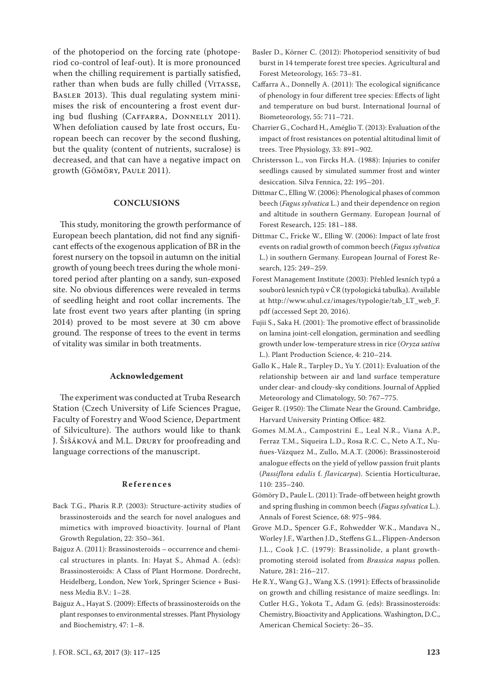of the photoperiod on the forcing rate (photoperiod co-control of leaf-out). It is more pronounced when the chilling requirement is partially satisfied, rather than when buds are fully chilled (VITASSE, Basler 2013). This dual regulating system minimises the risk of encountering a frost event during bud flushing (CAFFARRA, DONNELLY 2011). When defoliation caused by late frost occurs, European beech can recover by the second flushing, but the quality (content of nutrients, sucralose) is decreased, and that can have a negative impact on growth (Gömöry, Paule 2011).

## **CONCLUSIONS**

This study, monitoring the growth performance of European beech plantation, did not find any significant effects of the exogenous application of BR in the forest nursery on the topsoil in autumn on the initial growth of young beech trees during the whole monitored period after planting on a sandy, sun-exposed site. No obvious differences were revealed in terms of seedling height and root collar increments. The late frost event two years after planting (in spring 2014) proved to be most severe at 30 cm above ground. The response of trees to the event in terms of vitality was similar in both treatments.

#### **Acknowledgement**

The experiment was conducted at Truba Research Station (Czech University of Life Sciences Prague, Faculty of Forestry and Wood Science, Department of Silviculture). The authors would like to thank J. Šišáková and M.L. Drury for proofreading and language corrections of the manuscript.

## **References**

- Back T.G., Pharis R.P. (2003): Structure-activity studies of brassinosteroids and the search for novel analogues and mimetics with improved bioactivity. Journal of Plant Growth Regulation, 22: 350–361.
- Bajguz A. (2011): Brassinosteroids occurrence and chemical structures in plants. In: Hayat S., Ahmad A. (eds): Brassinosteroids: A Class of Plant Hormone. Dordrecht, Heidelberg, London, New York, Springer Science + Business Media B.V.: 1–28.
- Bajguz A., Hayat S. (2009): Effects of brassinosteroids on the plant responses to environmental stresses. Plant Physiology and Biochemistry, 47: 1–8.
- Basler D., Körner C. (2012): Photoperiod sensitivity of bud burst in 14 temperate forest tree species. Agricultural and Forest Meteorology, 165: 73–81.
- Caffarra A., Donnelly A. (2011): The ecological significance of phenology in four different tree species: Effects of light and temperature on bud burst. International Journal of Biometeorology, 55: 711–721.
- Charrier G., Cochard H., Améglio T. (2013): Evaluation of the impact of frost resistances on potential altitudinal limit of trees. Tree Physiology, 33: 891–902.
- Christersson L., von Fircks H.A. (1988): Injuries to conifer seedlings caused by simulated summer frost and winter desiccation. Silva Fennica, 22: 195–201.
- Dittmar C., Elling W. (2006): Phenological phases of common beech (*Fagus sylvatica* L.) and their dependence on region and altitude in southern Germany. European Journal of Forest Research, 125: 181–188.
- Dittmar C., Fricke W., Elling W. (2006): Impact of late frost events on radial growth of common beech (*Fagus sylvatica* L.) in southern Germany. European Journal of Forest Research, 125: 249–259.
- Forest Management Institute (2003): Přehled lesních typů a souborů lesních typů v ČR (typologická tabulka). Available at http://www.uhul.cz/images/typologie/tab\_LT\_web\_F. pdf (accessed Sept 20, 2016).
- Fujii S., Saka H. (2001): The promotive effect of brassinolide on lamina joint-cell elongation, germination and seedling growth under low-temperature stress in rice (*Oryza sativa* L.). Plant Production Science, 4: 210–214.
- Gallo K., Hale R., Tarpley D., Yu Y. (2011): Evaluation of the relationship between air and land surface temperature under clear- and cloudy-sky conditions. Journal of Applied Meteorology and Climatology, 50: 767–775.
- Geiger R. (1950): The Climate Near the Ground. Cambridge, Harvard University Printing Office: 482.
- Gomes M.M.A., Campostrini E., Leal N.R., Viana A.P., Ferraz T.M., Siqueira L.D., Rosa R.C. C., Neto A.T., Nuñues-Vázquez M., Zullo, M.A.T. (2006): Brassinosteroid analogue effects on the yield of yellow passion fruit plants (*Passiflora edulis* f. *flavicarpa*). Scientia Horticulturae, 110: 235–240.
- Gömöry D., Paule L. (2011): Trade-off between height growth and spring flushing in common beech (*Fagus sylvatica* L.). Annals of Forest Science, 68: 975–984.
- Grove M.D., Spencer G.F., Rohwedder W.K., Mandava N., Worley J.F., Warthen J.D., Steffens G.L., Flippen-Anderson J.L., Cook J.C. (1979): Brassinolide, a plant growthpromoting steroid isolated from *Brassica napus* pollen. Nature, 281: 216–217.
- He R.Y., Wang G.J., Wang X.S. (1991): Effects of brassinolide on growth and chilling resistance of maize seedlings. In: Cutler H.G., Yokota T., Adam G. (eds): Brassinosteroids: Chemistry, Bioactivity and Applications. Washington, D.C., American Chemical Society: 26–35.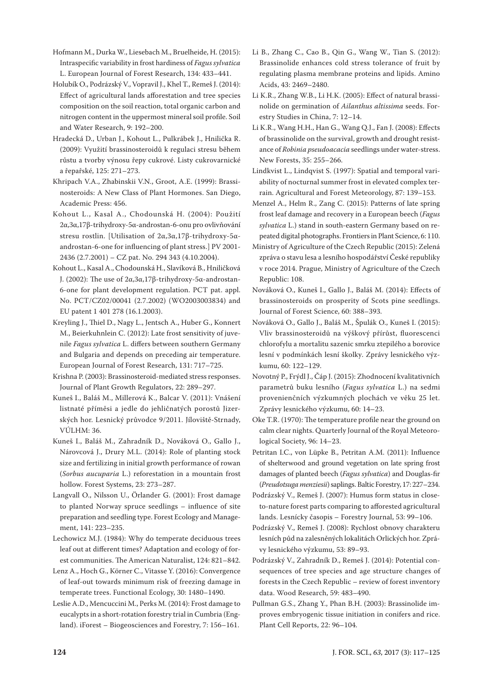Hofmann M., Durka W., Liesebach M., Bruelheide, H. (2015): Intraspecific variability in frost hardiness of *Fagus sylvatica* L. European Journal of Forest Research, 134: 433–441.

Holubík O., Podrázský V., Vopravil J., Khel T., Remeš J. (2014): Effect of agricultural lands afforestation and tree species composition on the soil reaction, total organic carbon and nitrogen content in the uppermost mineral soil profile. Soil and Water Research, 9: 192–200.

Hradecká D., Urban J., Kohout L., Pulkrábek J., Hnilička R. (2009): Využití brassinosteroidů k regulaci stresu během růstu a tvorby výnosu řepy cukrové. Listy cukrovarnické a řepařské, 125: 271–273.

Khripach V.A., Zhabinskii V.N., Groot, A.E. (1999): Brassinosteroids: A New Class of Plant Hormones. San Diego, Academic Press: 456.

Kohout L., Kasal A., Chodounská H. (2004): Použití 2α,3α,17β-trihydroxy-5α-androstan-6-onu pro ovlivňování stresu rostlin. [Utilisation of 2α,3α,17β-trihydroxy-5αandrostan-6-one for influencing of plant stress.] PV 2001- 2436 (2.7.2001) – CZ pat. No. 294 343 (4.10.2004).

Kohout L., Kasal A., Chodounská H., Slavíková B., Hniličková J. (2002): The use of 2α,3α,17β-trihydroxy-5α-androstan-6-one for plant development regulation. PCT pat. appl. No. PCT/CZ02/00041 (2.7.2002) (WO2003003834) and EU patent 1 401 278 (16.1.2003).

Kreyling J., Thiel D., Nagy L., Jentsch A., Huber G., Konnert M., Beierkuhnlein C. (2012): Late frost sensitivity of juvenile *Fagus sylvatica* L. differs between southern Germany and Bulgaria and depends on preceding air temperature. European Journal of Forest Research, 131: 717–725.

Krishna P. (2003): Brassinosteroid-mediated stress responses. Journal of Plant Growth Regulators, 22: 289–297.

Kuneš I., Baláš M., Millerová K., Balcar V. (2011): Vnášení listnaté příměsi a jedle do jehličnatých porostů Jizerských hor. Lesnický průvodce 9/2011. Jíloviště-Strnady, VÚLHM: 36.

Kuneš I., Baláš M., Zahradník D., Nováková O., Gallo J., Nárovcová J., Drury M.L. (2014): Role of planting stock size and fertilizing in initial growth performance of rowan (*Sorbus aucuparia* L.) reforestation in a mountain frost hollow. Forest Systems, 23: 273–287.

Langvall O., Nilsson U., Örlander G. (2001): Frost damage to planted Norway spruce seedlings – influence of site preparation and seedling type. Forest Ecology and Management, 141: 223–235.

Lechowicz M.J. (1984): Why do temperate deciduous trees leaf out at different times? Adaptation and ecology of forest communities. The American Naturalist, 124: 821–842.

Lenz A., Hoch G., Körner C., Vitasse Y. (2016): Convergence of leaf-out towards minimum risk of freezing damage in temperate trees. Functional Ecology, 30: 1480–1490.

Leslie A.D., Mencuccini M., Perks M. (2014): Frost damage to eucalypts in a short-rotation forestry trial in Cumbria (England). iForest – Biogeosciences and Forestry, 7: 156–161.

Li B., Zhang C., Cao B., Qin G., Wang W., Tian S. (2012): Brassinolide enhances cold stress tolerance of fruit by regulating plasma membrane proteins and lipids. Amino Acids, 43: 2469–2480.

Li K.R., Zhang W.B., Li H.K. (2005): Effect of natural brassinolide on germination of *Ailanthus altissima* seeds. Forestry Studies in China, 7: 12–14.

Li K.R., Wang H.H., Han G., Wang Q.J., Fan J. (2008): Effects of brassinolide on the survival, growth and drought resistance of *Robinia pseudoacacia* seedlings under water-stress. New Forests, 35: 255–266.

Lindkvist L., Lindqvist S. (1997): Spatial and temporal variability of nocturnal summer frost in elevated complex terrain. Agricultural and Forest Meteorology, 87: 139–153.

Menzel A., Helm R., Zang C. (2015): Patterns of late spring frost leaf damage and recovery in a European beech (*Fagus sylvatica* L.) stand in south-eastern Germany based on repeated digital photographs. Frontiers in Plant Science, 6: 110.

Ministry of Agriculture of the Czech Republic (2015): Zelená zpráva o stavu lesa a lesního hospodářství České republiky v roce 2014. Prague, Ministry of Agriculture of the Czech Republic: 108.

Nováková O., Kuneš I., Gallo J., Baláš M. (2014): Effects of brassinosteroids on prosperity of Scots pine seedlings. Journal of Forest Science, 60: 388–393.

Nováková O., Gallo J., Baláš M., Špulák O., Kuneš I. (2015): Vliv brassinosteroidů na výškový přírůst, fluorescenci chlorofylu a mortalitu sazenic smrku ztepilého a borovice lesní v podmínkách lesní školky. Zprávy lesnického výzkumu, 60: 122–129.

Novotný P., Frýdl J., Čáp J. (2015): Zhodnocení kvalitativních parametrů buku lesního (*Fagus sylvatica* L.) na sedmi provenienčních výzkumných plochách ve věku 25 let. Zprávy lesnického výzkumu, 60: 14–23.

Oke T.R. (1970): The temperature profile near the ground on calm clear nights. Quarterly Journal of the Royal Meteorological Society, 96: 14–23.

Petritan I.C., von Lüpke B., Petritan A.M. (2011): Influence of shelterwood and ground vegetation on late spring frost damages of planted beech (*Fagus sylvatica*) and Douglas-fir (*Preudotsuga menziesii*) saplings. Baltic Forestry, 17: 227–234.

Podrázský V., Remeš J. (2007): Humus form status in closeto-nature forest parts comparing to afforested agricultural lands. Lesnícky časopis – Forestry Journal, 53: 99–106.

Podrázský V., Remeš J. (2008): Rychlost obnovy charakteru lesních půd na zalesněných lokalitách Orlických hor. Zprávy lesnického výzkumu, 53: 89–93.

Podrázský V., Zahradník D., Remeš J. (2014): Potential consequences of tree species and age structure changes of forests in the Czech Republic – review of forest inventory data. Wood Research, 59: 483–490.

Pullman G.S., Zhang Y., Phan B.H. (2003): Brassinolide improves embryogenic tissue initiation in conifers and rice. Plant Cell Reports, 22: 96–104.